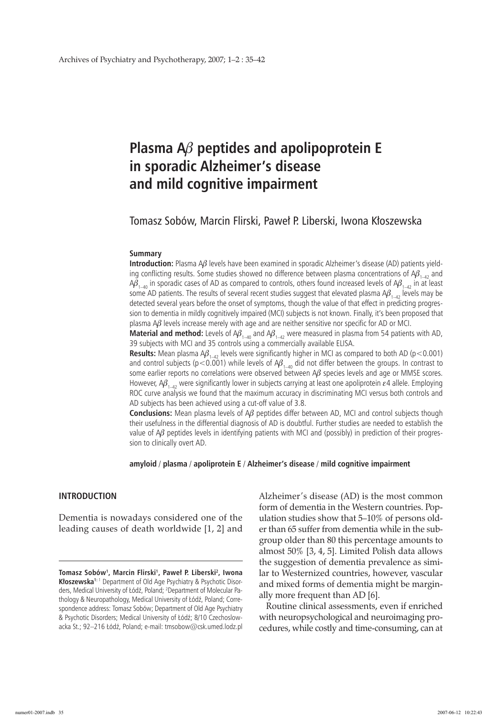# **Plasma A**b **peptides and apolipoprotein E in sporadic Alzheimer's disease and mild cognitive impairment**

Tomasz Sobów, Marcin Flirski, Paweł P. Liberski, Iwona Kłoszewska

#### **Summary**

**Introduction:** Plasma  $\Delta\beta$  levels have been examined in sporadic Alzheimer's disease (AD) patients yielding conflicting results. Some studies showed no difference between plasma concentrations of  $A\beta_{1-4}$  and  $A\beta_{1-40}$  in sporadic cases of AD as compared to controls, others found increased levels of  $A\beta_{1-42}$  in at least some AD patients. The results of several recent studies suggest that elevated plasma  $A\beta_{1-4}$ , levels may be detected several years before the onset of symptoms, though the value of that effect in predicting progression to dementia in mildly cognitively impaired (MCI) subjects is not known. Finally, it's been proposed that plasma  $\Delta\beta$  levels increase merely with age and are neither sensitive nor specific for AD or MCI.

**Material and method:** Levels of  $AG_{1-40}$  and  $AG_{1-42}$  were measured in plasma from 54 patients with AD, 39 subjects with MCI and 35 controls using a commercially available ELISA.

**Results:** Mean plasma  $\mathcal{A}\beta_{1-4}$ , levels were significantly higher in MCI as compared to both AD (p < 0.001) and control subjects (p<0.001) while levels of  $A\beta_{1-40}$  did not differ between the groups. In contrast to some earlier reports no correlations were observed between  $\mathcal{A}\beta$  species levels and age or MMSE scores. However,  $\beta_{1-4}$ , were significantly lower in subjects carrying at least one apoliprotein  $\varepsilon_4$  allele. Employing ROC curve analysis we found that the maximum accuracy in discriminating MCI versus both controls and AD subjects has been achieved using a cut-off value of 3.8.

**Conclusions:** Mean plasma levels of  $A\beta$  peptides differ between AD, MCI and control subjects though their usefulness in the differential diagnosis of AD is doubtful. Further studies are needed to establish the value of  $\Delta\beta$  peptides levels in identifying patients with MCI and (possibly) in prediction of their progression to clinically overt AD.

**amyloid** / **plasma** / **apoliprotein E** / **Alzheimer's disease** / **mild cognitive impairment**

# **Introduction**

Dementia is nowadays considered one of the leading causes of death worldwide [1, 2] and Alzheimer's disease (AD) is the most common form of dementia in the Western countries. Population studies show that 5–10% of persons older than 65 suffer from dementia while in the subgroup older than 80 this percentage amounts to almost 50% [3, 4, 5]. Limited Polish data allows the suggestion of dementia prevalence as similar to Westernized countries, however, vascular and mixed forms of dementia might be marginally more frequent than AD [6].

Routine clinical assessments, even if enriched with neuropsychological and neuroimaging procedures, while costly and time-consuming, can at

**Tomasz Sobów1 , Marcin Flirski1 , Paweł P. Liberski<sup>2</sup> , Iwona Kłoszewska1:** 1 Department of Old Age Psychiatry & Psychotic Disorders, Medical University of Łódź, Poland; <sup>2</sup> Department of Molecular Pathology & Neuropathology, Medical University of Łódź, Poland; Correspondence address: Tomasz Sobów; Department of Old Age Psychiatry & Psychotic Disorders; Medical University of Łódź; 8/10 Czechoslowacka St.; 92–216 Łódź, Poland; e-mail: tmsobow@csk.umed.lodz.pl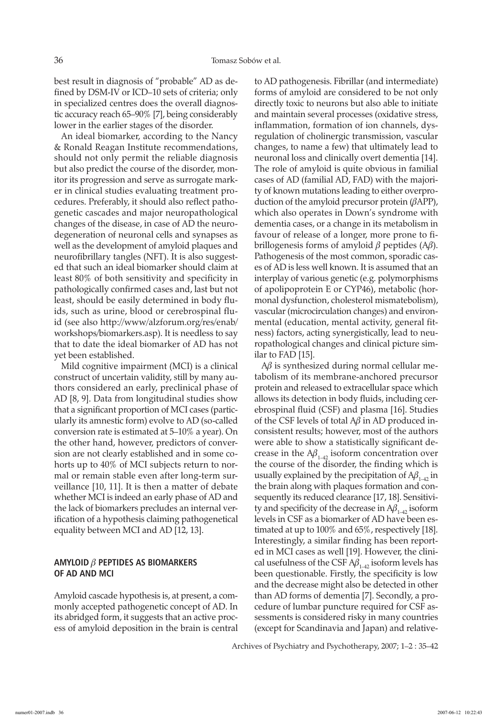best result in diagnosis of "probable" AD as defined by DSM-IV or ICD–10 sets of criteria; only in specialized centres does the overall diagnostic accuracy reach 65–90% [7], being considerably lower in the earlier stages of the disorder.

An ideal biomarker, according to the Nancy & Ronald Reagan Institute recommendations, should not only permit the reliable diagnosis but also predict the course of the disorder, monitor its progression and serve as surrogate marker in clinical studies evaluating treatment procedures. Preferably, it should also reflect pathogenetic cascades and major neuropathological changes of the disease, in case of AD the neurodegeneration of neuronal cells and synapses as well as the development of amyloid plaques and neurofibrillary tangles (NFT). It is also suggested that such an ideal biomarker should claim at least 80% of both sensitivity and specificity in pathologically confirmed cases and, last but not least, should be easily determined in body fluids, such as urine, blood or cerebrospinal fluid (see also http://www/alzforum.org/res/enab/ workshops/biomarkers.asp). It is needless to say that to date the ideal biomarker of AD has not yet been established.

Mild cognitive impairment (MCI) is a clinical construct of uncertain validity, still by many authors considered an early, preclinical phase of AD [8, 9]. Data from longitudinal studies show that a significant proportion of MCI cases (particularly its amnestic form) evolve to AD (so-called conversion rate is estimated at 5–10% a year). On the other hand, however, predictors of conversion are not clearly established and in some cohorts up to 40% of MCI subjects return to normal or remain stable even after long-term surveillance [10, 11]. It is then a matter of debate whether MCI is indeed an early phase of AD and the lack of biomarkers precludes an internal verification of a hypothesis claiming pathogenetical equality between MCI and AD [12, 13].

# **Amyloid** b **peptides as biomarkers of AD and MCI**

Amyloid cascade hypothesis is, at present, a commonly accepted pathogenetic concept of AD. In its abridged form, it suggests that an active process of amyloid deposition in the brain is central to AD pathogenesis. Fibrillar (and intermediate) forms of amyloid are considered to be not only directly toxic to neurons but also able to initiate and maintain several processes (oxidative stress, inflammation, formation of ion channels, dysregulation of cholinergic transmission, vascular changes, to name a few) that ultimately lead to neuronal loss and clinically overt dementia [14]. The role of amyloid is quite obvious in familial cases of AD (familial AD, FAD) with the majority of known mutations leading to either overproduction of the amyloid precursor protein  $(\beta APP)$ , which also operates in Down's syndrome with dementia cases, or a change in its metabolism in favour of release of a longer, more prone to fibrillogenesis forms of amyloid  $\beta$  peptides (A $\beta$ ). Pathogenesis of the most common, sporadic cases of AD is less well known. It is assumed that an interplay of various genetic (e.g. polymorphisms of apolipoprotein E or CYP46), metabolic (hormonal dysfunction, cholesterol mismatebolism), vascular (microcirculation changes) and environmental (education, mental activity, general fitness) factors, acting synergistically, lead to neuropathological changes and clinical picture similar to FAD [15].

 $A\beta$  is synthesized during normal cellular metabolism of its membrane-anchored precursor protein and released to extracellular space which allows its detection in body fluids, including cerebrospinal fluid (CSF) and plasma [16]. Studies of the CSF levels of total  $\Delta\beta$  in AD produced inconsistent results; however, most of the authors were able to show a statistically significant decrease in the  $A\beta_{1-42}$  isoform concentration over the course of the disorder, the finding which is usually explained by the precipitation of  $A\beta_{1\rightarrow 2}$  in the brain along with plaques formation and consequently its reduced clearance [17, 18]. Sensitivity and specificity of the decrease in  $A\beta_{1,42}$  isoform levels in CSF as a biomarker of AD have been estimated at up to 100% and 65%, respectively [18]. Interestingly, a similar finding has been reported in MCI cases as well [19]. However, the clinical usefulness of the CSF  $\mathsf{A}\pmb{\beta}_{1\!-\!42}$  isoform levels has been questionable. Firstly, the specificity is low and the decrease might also be detected in other than AD forms of dementia [7]. Secondly, a procedure of lumbar puncture required for CSF assessments is considered risky in many countries (except for Scandinavia and Japan) and relative-

Archives of Psychiatry and Psychotherapy, 2007; 1–2 : 35–42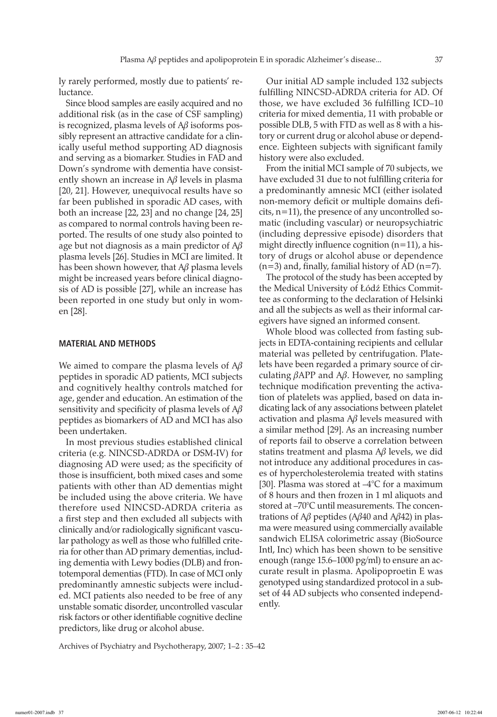ly rarely performed, mostly due to patients' reluctance.

Since blood samples are easily acquired and no additional risk (as in the case of CSF sampling) is recognized, plasma levels of  $A\beta$  isoforms possibly represent an attractive candidate for a clinically useful method supporting AD diagnosis and serving as a biomarker. Studies in FAD and Down's syndrome with dementia have consistently shown an increase in  $A\beta$  levels in plasma [20, 21]. However, unequivocal results have so far been published in sporadic AD cases, with both an increase [22, 23] and no change [24, 25] as compared to normal controls having been reported. The results of one study also pointed to age but not diagnosis as a main predictor of  $A\beta$ plasma levels [26]. Studies in MCI are limited. It has been shown however, that  $A\beta$  plasma levels might be increased years before clinical diagnosis of AD is possible [27], while an increase has been reported in one study but only in women [28].

### **Material and methods**

We aimed to compare the plasma levels of  $A\beta$ peptides in sporadic AD patients, MCI subjects and cognitively healthy controls matched for age, gender and education. An estimation of the sensitivity and specificity of plasma levels of  $A\beta$ peptides as biomarkers of AD and MCI has also been undertaken.

In most previous studies established clinical criteria (e.g. NINCSD-ADRDA or DSM-IV) for diagnosing AD were used; as the specificity of those is insufficient, both mixed cases and some patients with other than AD dementias might be included using the above criteria. We have therefore used NINCSD-ADRDA criteria as a first step and then excluded all subjects with clinically and/or radiologically significant vascular pathology as well as those who fulfilled criteria for other than AD primary dementias, including dementia with Lewy bodies (DLB) and frontotemporal dementias (FTD). In case of MCI only predominantly amnestic subjects were included. MCI patients also needed to be free of any unstable somatic disorder, uncontrolled vascular risk factors or other identifiable cognitive decline predictors, like drug or alcohol abuse.

Archives of Psychiatry and Psychotherapy, 2007; 1–2 : 35–42

Our initial AD sample included 132 subjects fulfilling NINCSD-ADRDA criteria for AD. Of those, we have excluded 36 fulfilling ICD–10 criteria for mixed dementia, 11 with probable or possible DLB, 5 with FTD as well as 8 with a history or current drug or alcohol abuse or dependence. Eighteen subjects with significant family history were also excluded.

From the initial MCI sample of 70 subjects, we have excluded 31 due to not fulfilling criteria for a predominantly amnesic MCI (either isolated non-memory deficit or multiple domains deficits, n=11), the presence of any uncontrolled somatic (including vascular) or neuropsychiatric (including depressive episode) disorders that might directly influence cognition  $(n=11)$ , a history of drugs or alcohol abuse or dependence  $(n=3)$  and, finally, familial history of AD  $(n=7)$ .

The protocol of the study has been accepted by the Medical University of Łódź Ethics Committee as conforming to the declaration of Helsinki and all the subjects as well as their informal caregivers have signed an informed consent.

Whole blood was collected from fasting subjects in EDTA-containing recipients and cellular material was pelleted by centrifugation. Platelets have been regarded a primary source of circulating  $\beta$ APP and A $\beta$ . However, no sampling technique modification preventing the activation of platelets was applied, based on data indicating lack of any associations between platelet activation and plasma  $\mathcal{A}\beta$  levels measured with a similar method [29]. As an increasing number of reports fail to observe a correlation between statins treatment and plasma  $\Delta\beta$  levels, we did not introduce any additional procedures in cases of hypercholesterolemia treated with statins [30]. Plasma was stored at  $-4^{\circ}$ C for a maximum of 8 hours and then frozen in 1 ml aliquots and stored at –70°C until measurements. The concentrations of  $A\beta$  peptides ( $A\beta$ 40 and  $A\beta$ 42) in plasma were measured using commercially available sandwich ELISA colorimetric assay (BioSource Intl, Inc) which has been shown to be sensitive enough (range 15.6–1000 pg/ml) to ensure an accurate result in plasma. Apolipoproetin E was genotyped using standardized protocol in a subset of 44 AD subjects who consented independently.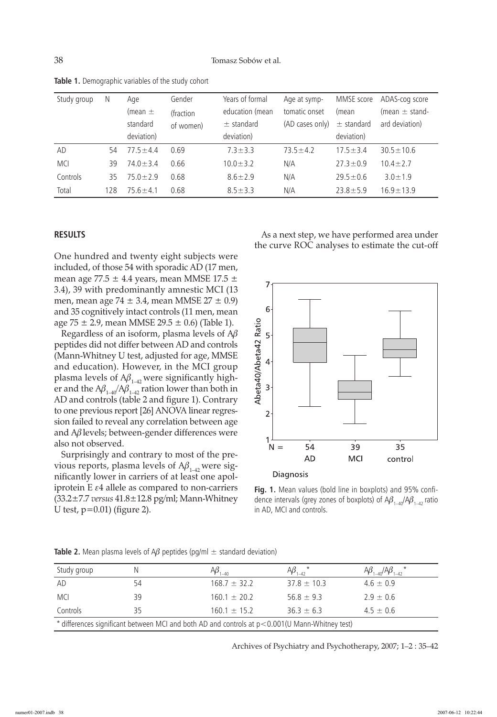| Study group | N   | Age            | Gender    | Years of formal | Age at symp-    | MMSE score     | ADAS-cog score     |
|-------------|-----|----------------|-----------|-----------------|-----------------|----------------|--------------------|
|             |     | (mean $\pm$    | (fraction | education (mean | tomatic onset   | (mean          | (mean $\pm$ stand- |
|             |     | standard       | of women) | $\pm$ standard  | (AD cases only) | $\pm$ standard | ard deviation)     |
|             |     | deviation)     |           | deviation)      |                 | deviation)     |                    |
| AD          | 54  | $77.5 + 4.4$   | 0.69      | $7.3 \pm 3.3$   | $73.5 \pm 4.2$  | $17.5 \pm 3.4$ | $30.5 \pm 10.6$    |
| <b>MCI</b>  | 39  | $74.0 \pm 3.4$ | 0.66      | $10.0 \pm 3.2$  | N/A             | $27.3 \pm 0.9$ | $10.4 \pm 2.7$     |
| Controls    | 35  | $75.0 + 2.9$   | 0.68      | $8.6 \pm 2.9$   | N/A             | $29.5 \pm 0.6$ | $3.0 \pm 1.9$      |
| Total       | 128 | $75.6 \pm 4.1$ | 0.68      | $8.5 \pm 3.3$   | N/A             | $23.8 \pm 5.9$ | $16.9 \pm 13.9$    |

**Table 1.** Demographic variables of the study cohort

#### **Results**

One hundred and twenty eight subjects were included, of those 54 with sporadic AD (17 men, mean age  $77.5 \pm 4.4$  years, mean MMSE  $17.5 \pm 1.5$ 3.4), 39 with predominantly amnestic MCI (13 men, mean age 74  $\pm$  3.4, mean MMSE 27  $\pm$  0.9) and 35 cognitively intact controls (11 men, mean age  $75 \pm 2.9$ , mean MMSE  $29.5 \pm 0.6$ ) (Table 1).

Regardless of an isoform, plasma levels of  $A\beta$ peptides did not differ between AD and controls (Mann-Whitney U test, adjusted for age, MMSE and education). However, in the MCI group plasma levels of  $A\beta_{1-42}$  were significantly higher and the  $A\beta_{1-40}/A\beta_{1-42}$  ration lower than both in AD and controls (table 2 and figure 1). Contrary to one previous report [26] ANOVA linear regression failed to reveal any correlation between age and  $\Delta\beta$  levels; between-gender differences were also not observed.

Surprisingly and contrary to most of the previous reports, plasma levels of  $A\beta_{1-42}$  were significantly lower in carriers of at least one apoliprotein  $E \epsilon 4$  allele as compared to non-carriers (33.2±7.7 *versus* 41.8±12.8 pg/ml; Mann-Whitney U test, p=0.01) (figure 2).

As a next step, we have performed area under the curve ROC analyses to estimate the cut-off



**Fig. 1.** Mean values (bold line in boxplots) and 95% confidence intervals (grey zones of boxplots) of  $A\beta_{1-40}/A\beta_{1-42}$  ratio in AD, MCI and controls.

| Study group                                                                                           |    | $\neg \psi_{1\perp\perp\perp}$ | $AD_{1-42}$     | $A\beta_{1\ldots A}A\beta_{1\ldots A}$ |  |  |  |  |
|-------------------------------------------------------------------------------------------------------|----|--------------------------------|-----------------|----------------------------------------|--|--|--|--|
| AD                                                                                                    | 54 | $168.7 \pm 32.2$               | $37.8 \pm 10.3$ | $4.6 \pm 0.9$                          |  |  |  |  |
| <b>MCI</b>                                                                                            | 39 | $160.1 \pm 20.2$               | $56.8 \pm 9.3$  | $2.9 \pm 0.6$                          |  |  |  |  |
| Controls                                                                                              | 35 | $160.1 \pm 15.2$               | $36.3 \pm 6.3$  | $4.5 \pm 0.6$                          |  |  |  |  |
| $*$ differences significant between MCI and both AD and controls at $p < 0.001$ (U Mann-Whitney test) |    |                                |                 |                                        |  |  |  |  |

**Table 2.** Mean plasma levels of A $\beta$  peptides (pg/ml  $\pm$  standard deviation)

Archives of Psychiatry and Psychotherapy, 2007; 1–2 : 35–42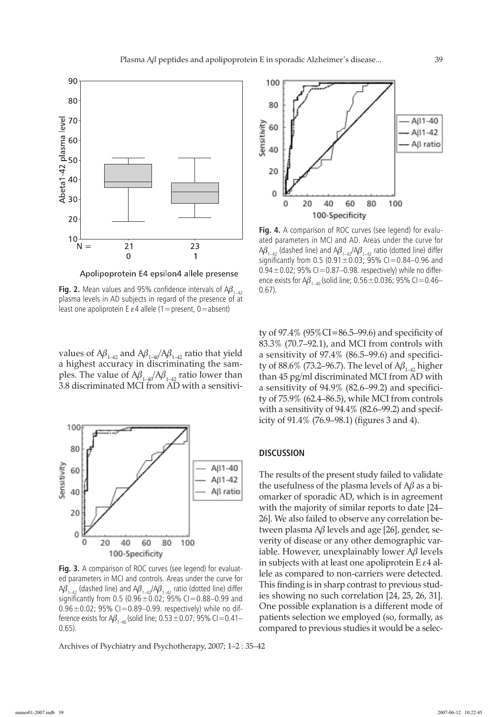

Apolipoprotein E4 epsilon4 allele presense

**Fig. 2.** Mean values and 95% confidence intervals of  $A\beta_{1-42}$ plasma levels in AD subjects in regard of the presence of at least one apoliprotein E  $\varepsilon$ 4 allele (1 = present, 0 = absent)

values of  $A\beta_{1-42}$  and  $A\beta_{1-40}/A\beta_{1-42}$  ratio that yield a highest accuracy in discriminating the samples. The value of  $A\beta_{1-40}/A\beta_{1-42}$  ratio lower than 3.8 discriminated MCI from AD with a sensitivi-



**Fig. 3.** A comparison of ROC curves (see legend) for evaluated parameters in MCI and controls. Areas under the curve for  $A\beta_{1-42}$  (dashed line) and  $A\beta_{1-42}/A\beta_{1-42}$  ratio (dotted line) differ significantly from 0.5 (0.96 $\pm$ 0.02; 95% CI=0.88–0.99 and  $0.96 \pm 0.02$ ; 95% CI=0.89–0.99. respectively) while no difference exists for  $A\beta_{1-40}$  (solid line; 0.53 ± 0.07; 95% CI=0.41– 0.65).

Archives of Psychiatry and Psychotherapy, 2007; 1–2 : 35–42



**Fig. 4.** A comparison of ROC curves (see legend) for evaluated parameters in MCI and AD. Areas under the curve for  $A\beta_{1-42}$  (dashed line) and  $A\beta_{1-42}/A\beta_{1-42}$  ratio (dotted line) differ significantly from 0.5 (0.91 $\pm$ 0.03; 95% CI=0.84–0.96 and 0.94 $\pm$ 0.02; 95% CI=0.87-0.98. respectively) while no difference exists for  $A\beta_{1-40}$  (solid line; 0.56 ± 0.036; 95% CI = 0.46– 0.67).

ty of 97.4% (95%CI=86.5–99.6) and specificity of 83.3% (70.7–92.1), and MCI from controls with a sensitivity of 97.4% (86.5–99.6) and specificity of 88.6% (73.2–96.7). The level of  $A\beta_{1-42}$  higher than 45 pg/ml discriminated MCI from AD with a sensitivity of 94.9% (82.6–99.2) and specificity of 75.9% (62.4–86.5), while MCI from controls with a sensitivity of 94.4% (82.6–99.2) and specificity of 91.4% (76.9–98.1) (figures 3 and 4).

### **Discussion**

The results of the present study failed to validate the usefulness of the plasma levels of  $A\beta$  as a biomarker of sporadic AD, which is in agreement with the majority of similar reports to date [24– 26]. We also failed to observe any correlation between plasma  $\Delta\beta$  levels and age [26], gender, severity of disease or any other demographic variable. However, unexplainably lower  $A\beta$  levels in subjects with at least one apoliprotein E  $\varepsilon$ 4 allele as compared to non-carriers were detected. This finding is in sharp contrast to previous studies showing no such correlation [24, 25, 26, 31]. One possible explanation is a different mode of patients selection we employed (so, formally, as compared to previous studies it would be a selec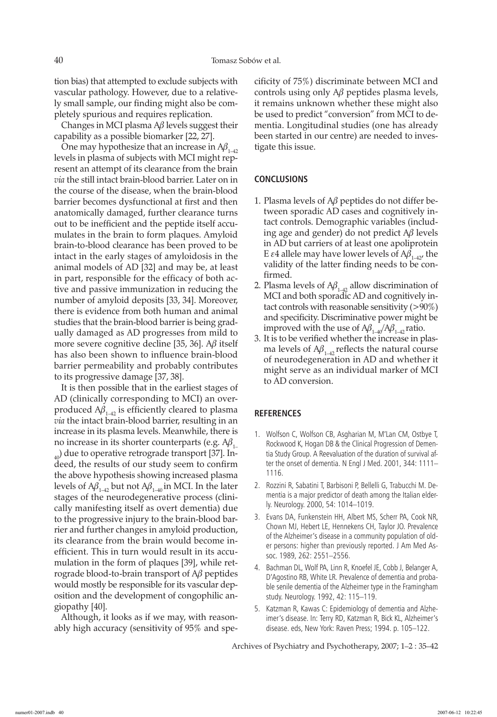tion bias) that attempted to exclude subjects with vascular pathology. However, due to a relatively small sample, our finding might also be completely spurious and requires replication.

Changes in MCI plasma  $\Delta\beta$  levels suggest their capability as a possible biomarker [22, 27].

One may hypothesize that an increase in  $A\beta_{1-42}$ levels in plasma of subjects with MCI might represent an attempt of its clearance from the brain *via* the still intact brain-blood barrier. Later on in the course of the disease, when the brain-blood barrier becomes dysfunctional at first and then anatomically damaged, further clearance turns out to be inefficient and the peptide itself accumulates in the brain to form plaques. Amyloid brain-to-blood clearance has been proved to be intact in the early stages of amyloidosis in the animal models of AD [32] and may be, at least in part, responsible for the efficacy of both active and passive immunization in reducing the number of amyloid deposits [33, 34]. Moreover, there is evidence from both human and animal studies that the brain-blood barrier is being gradually damaged as AD progresses from mild to more severe cognitive decline [35, 36].  $A\beta$  itself has also been shown to influence brain-blood barrier permeability and probably contributes to its progressive damage [37, 38].

It is then possible that in the earliest stages of AD (clinically corresponding to MCI) an overproduced  $A\beta_{1-42}$  is efficiently cleared to plasma *via* the intact brain-blood barrier, resulting in an increase in its plasma levels. Meanwhile, there is no increase in its shorter counterparts (e.g.  $A\beta_1$  $_{40}$ ) due to operative retrograde transport [37]. Indeed, the results of our study seem to confirm the above hypothesis showing increased plasma levels of  $A\beta_{1-42}$  but not  $A\beta_{1-40}$  in MCI. In the later stages of the neurodegenerative process (clinically manifesting itself as overt dementia) due to the progressive injury to the brain-blood barrier and further changes in amyloid production, its clearance from the brain would become inefficient. This in turn would result in its accumulation in the form of plaques [39], while retrograde blood-to-brain transport of  $A\beta$  peptides would mostly be responsible for its vascular deposition and the development of congophilic angiopathy [40].

Although, it looks as if we may, with reasonably high accuracy (sensitivity of 95% and specificity of 75%) discriminate between MCI and controls using only  $A\beta$  peptides plasma levels, it remains unknown whether these might also be used to predict "conversion" from MCI to dementia. Longitudinal studies (one has already been started in our centre) are needed to investigate this issue.

# **Conclusions**

- 1. Plasma levels of  $A\beta$  peptides do not differ between sporadic AD cases and cognitively intact controls. Demographic variables (including age and gender) do not predict  $A\beta$  levels in AD but carriers of at least one apoliprotein E  $\varepsilon$ 4 allele may have lower levels of  $A\beta_{1-42}$ , the validity of the latter finding needs to be confirmed.
- 2. Plasma levels of  $A\beta_{1-42}$  allow discrimination of MCI and both sporadic AD and cognitively intact controls with reasonable sensitivity  $(>90\%)$ and specificity. Discriminative power might be improved with the use of  $A\beta_{1-40}/A\beta_{1-42}$  ratio.
- 3. It is to be verified whether the increase in plasma levels of  $A\beta_{1-42}$  reflects the natural course of neurodegeneration in AD and whether it might serve as an individual marker of MCI to AD conversion.

#### **References**

- 1. Wolfson C, Wolfson CB, Asgharian M, M'Lan CM, Ostbye T, Rockwood K, Hogan DB & the Clinical Progression of Dementia Study Group. A Reevaluation of the duration of survival after the onset of dementia. N Engl J Med. 2001, 344: 1111– 1116.
- 2. Rozzini R, Sabatini T, Barbisoni P, Bellelli G, Trabucchi M. Dementia is a major predictor of death among the Italian elderly. Neurology. 2000, 54: 1014–1019.
- 3. Evans DA, Funkenstein HH, Albert MS, Scherr PA, Cook NR, Chown MJ, Hebert LE, Hennekens CH, Taylor JO. Prevalence of the Alzheimer's disease in a community population of older persons: higher than previously reported. J Am Med Assoc. 1989, 262: 2551–2556.
- 4. Bachman DL, Wolf PA, Linn R, Knoefel JE, Cobb J, Belanger A, D'Agostino RB, White LR. Prevalence of dementia and probable senile dementia of the Alzheimer type in the Framingham study. Neurology. 1992, 42: 115–119.
- 5. Katzman R, Kawas C: Epidemiology of dementia and Alzheimer's disease. In: Terry RD, Katzman R, Bick KL, Alzheimer's disease. eds, New York: Raven Press; 1994. p. 105–122.

Archives of Psychiatry and Psychotherapy, 2007; 1–2 : 35–42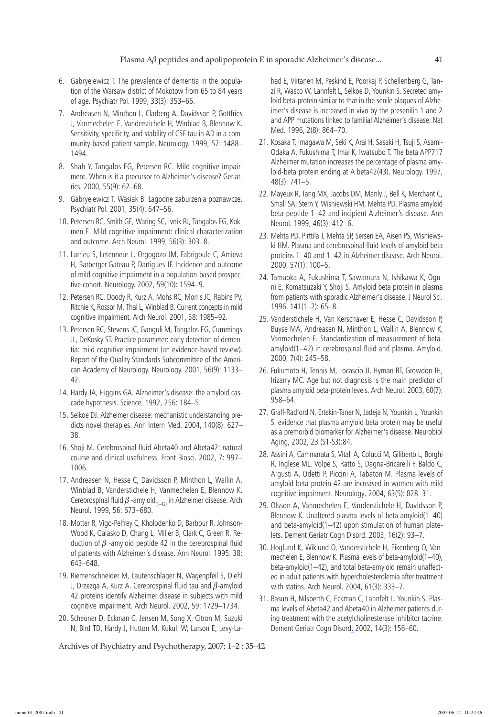- 6. Gabryelewicz T. The prevalence of dementia in the population of the Warsaw district of Mokotow from 65 to 84 years of age. Psychiatr Pol. 1999, 33(3): 353–66.
- 7. Andreasen N, Minthon L, Clarberg A, Davidsson P, Gottfries J, Vanmechelen E, Vanderstichele H, Winblad B, Blennow K. Sensitivity, specificity, and stability of CSF-tau in AD in a community-based patient sample. Neurology. 1999, 57: 1488– 1494.
- 8. Shah Y, Tangalos EG, Petersen RC. Mild cognitive impairment. When is it a precursor to Alzheimer's disease? Geriatrics. 2000, 55(9): 62–68.
- 9. Gabryelewicz T, Wasiak B. Łagodne zaburzenia poznawcze. Psychiatr Pol. 2001, 35(4): 647–56.
- 10. Petersen RC, Smith GE, Waring SC, Ivnik RJ, Tangalos EG, Kokmen E. Mild cognitive impairment: clinical characterization and outcome. Arch Neurol. 1999, 56(3): 303–8.
- 11. Larrieu S, Letenneur L, Orgogozo JM, Fabrigoule C, Amieva H, Barberger-Gateau P, Dartigues JF. Incidence and outcome of mild cognitive impairment in a population-based prospective cohort. Neurology. 2002, 59(10): 1594–9.
- 12. Petersen RC, Doody R, Kurz A, Mohs RC, Morris JC, Rabins PV, Ritchie K, Rossor M, Thal L, Winblad B. Current concepts in mild cognitive impairment. Arch Neurol. 2001, 58: 1985–92.
- 13. Petersen RC, Stevens JC, Ganguli M, Tangalos EG, Cummings JL, DeKosky ST. Practice parameter: early detection of dementia: mild cognitive impairment (an evidence-based review). Report of the Quality Standards Subcommittee of the American Academy of Neurology. Neurology. 2001, 56(9): 1133– 42.
- 14. Hardy JA, Higgins GA. Alzheimer's disease: the amyloid cascade hypothesis. Science, 1992, 256: 184–5.
- 15. Selkoe DJ. Alzheimer disease: mechanistic understanding predicts novel therapies. Ann Intern Med. 2004, 140(8): 627– 38.
- 16. Shoji M. Cerebrospinal fluid Abeta40 and Abeta42: natural course and clinical usefulness. Front Biosci. 2002, 7: 997– 1006.
- 17. Andreasen N, Hesse C, Davidsson P, Minthon L, Wallin A, Winblad B, Vanderstichele H, Vanmechelen E, Blennow K. Cerebrospinal fluid  $\beta$  -amyloid<sub>(1–42)</sub> in Alzheimer disease. Arch Neurol. 1999, 56: 673–680.
- 18. Motter R, Vigo-Pelfrey C, Kholodenko D, Barbour R, Johnson-Wood K, Galasko D, Chang L, Miller B, Clark C, Green R. Reduction of  $\beta$  -amyloid peptide 42 in the cerebrospinal fluid of patients with Alzheimer's disease. Ann Neurol. 1995. 38: 643–648.
- 19. Riemenschneider M, Lautenschlager N, Wagenpfeil S, Diehl J, Drzezga A, Kurz A. Cerebrospinal fluid tau and  $\beta$ -amyloid 42 proteins identify Alzheimer disease in subjects with mild cognitive impairment. Arch Neurol. 2002, 59: 1729–1734.
- 20. Scheuner D, Eckman C, Jensen M, Song X, Citron M, Suzuki N, Bird TD, Hardy J, Hutton M, Kukull W, Larson E, Levy-La-

Archives of Psychiatry and Psychotherapy, 2007; 1–2 : 35–42

had E, Viitanen M, Peskind E, Poorkaj P, Schellenberg G, Tanzi R, Wasco W, Lannfelt L, Selkoe D, Younkin S. Secreted amyloid beta-protein similar to that in the senile plaques of Alzheimer's disease is increased in vivo by the presenilin 1 and 2 and APP mutations linked to familial Alzheimer's disease. Nat Med. 1996, 2(8): 864–70.

- 21. Kosaka T, Imagawa M, Seki K, Arai H, Sasaki H, Tsuji S, Asami-Odaka A, Fukushima T, Imai K, Iwatsubo T. The beta APP717 Alzheimer mutation increases the percentage of plasma amyloid-beta protein ending at A beta42(43). Neurology. 1997, 48(3): 741–5.
- 22. Mayeux R, Tang MX, Jacobs DM, Manly J, Bell K, Merchant C, Small SA, Stern Y, Wisniewski HM, Mehta PD. Plasma amyloid beta-peptide 1–42 and incipient Alzheimer's disease. Ann Neurol. 1999, 46(3): 412–6.
- 23. Mehta PD, Pirttila T, Mehta SP, Sersen EA, Aisen PS, Wisniewski HM. Plasma and cerebrospinal fluid levels of amyloid beta proteins 1–40 and 1–42 in Alzheimer disease. Arch Neurol. 2000, 57(1): 100–5.
- 24. Tamaoka A, Fukushima T, Sawamura N, Ishikawa K, Oguni E, Komatsuzaki Y, Shoji S. Amyloid beta protein in plasma from patients with sporadic Alzheimer's disease. J Neurol Sci. 1996. 141(1–2): 65–8.
- 25. Vanderstichele H, Van Kerschaver E, Hesse C, Davidsson P, Buyse MA, Andreasen N, Minthon L, Wallin A, Blennow K, Vanmechelen E. Standardization of measurement of betaamyloid(1–42) in cerebrospinal fluid and plasma. Amyloid. 2000, 7(4): 245–58.
- 26. Fukumoto H, Tennis M, Locascio JJ, Hyman BT, Growdon JH, Irizarry MC. Age but not diagnosis is the main predictor of plasma amyloid beta-protein levels. Arch Neurol. 2003, 60(7): 958–64.
- 27. Graff-Radford N, Ertekin-Taner N, Jadeja N, Younkin L, Younkin S. evidence that plasma amyloid beta protein may be useful as a premorbid biomarker for Alzheimer's disease. Neurobiol Aging, 2002, 23 (S1-S3):84.
- 28. Assini A, Cammarata S, Vitali A, Colucci M, Giliberto L, Borghi R, Inglese ML, Volpe S, Ratto S, Dagna-Bricarelli F, Baldo C, Argusti A, Odetti P, Piccini A, Tabaton M. Plasma levels of amyloid beta-protein 42 are increased in women with mild cognitive impairment. Neurology. 2004, 63(5): 828–31.
- 29. Olsson A, Vanmechelen E, Vanderstichele H, Davidsson P, Blennow K. Unaltered plasma levels of beta-amyloid(1–40) and beta-amyloid(1–42) upon stimulation of human platelets. Dement Geriatr Cogn Disord. 2003, 16(2): 93–7.
- 30. Hoglund K, Wiklund O, Vanderstichele H, Eikenberg O, Vanmechelen E, Blennow K. Plasma levels of beta-amyloid(1–40), beta-amyloid(1–42), and total beta-amyloid remain unaffected in adult patients with hypercholesterolemia after treatment with statins. Arch Neurol. 2004, 61(3): 333–7.
- 31. Basun H, Nilsberth C, Eckman C, Lannfelt L, Younkin S. Plasma levels of Abeta42 and Abeta40 in Alzheimer patients during treatment with the acetylcholinesterase inhibitor tacrine. Dement Geriatr Cogn Disord. 2002, 14(3): 156–60.